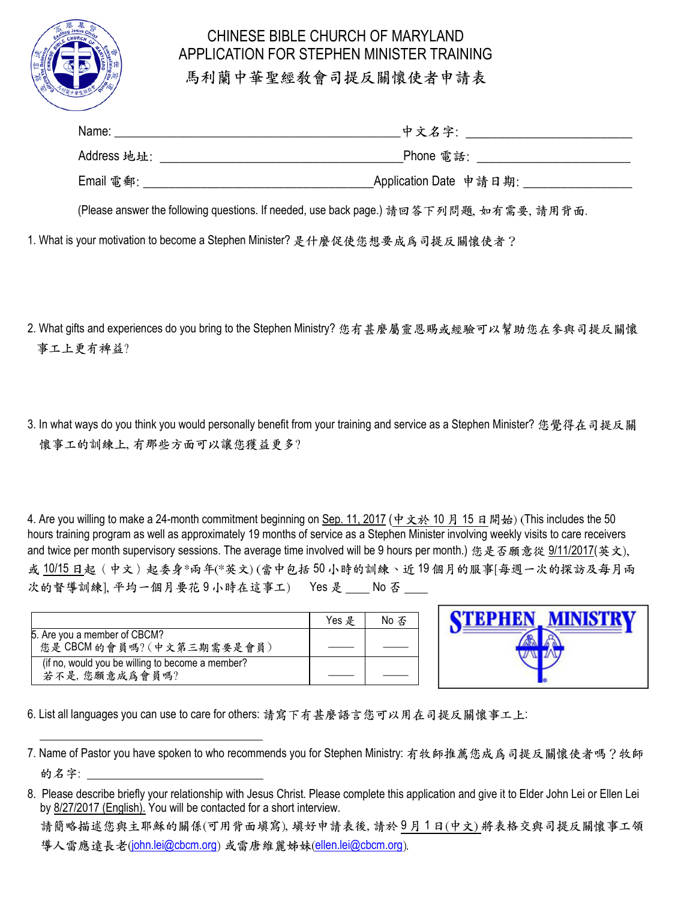

## CHINESE BIBLE CHURCH OF MARYLAND APPLICATION FOR STEPHEN MINISTER TRAINING 馬利蘭中華聖經教會司提反關懷使者申請表

| Name:       | 中文名字:                  |
|-------------|------------------------|
| Address 地址: | Phone 電話:              |
| Email 電郵:   | Application Date 申請日期: |

(Please answer the following questions. If needed, use back page.) 請回答下列問題, 如有需要, 請用背面.

1. What is your motivation to become a Stephen Minister? 是什麼促使您想要成為司提反關懷使者?

- 2. What gifts and experiences do you bring to the Stephen Ministry? 您有甚麼屬靈恩賜或經驗可以幫助您在參與司提反關懷 事工上更有裨益?
- 3. In what ways do you think you would personally benefit from your training and service as a Stephen Minister? 您覺得在司提反關 懷事工的訓練上, 有那些方面可以讓您獲益更多?

4. Are you willing to make a 24-month commitment beginning on Sep. 11, 2017 (中文於 10 月 15 日開始) (This includes the 50 hours training program as well as approximately 19 months of service as a Stephen Minister involving weekly visits to care receivers and twice per month supervisory sessions. The average time involved will be 9 hours per month.) 您是否願意從 9/11/2017(英文), 或 10/15 日起(中文)起委身\*兩年(\*英文) (當中包括 50 小時的訓練、近 19 個月的服事[每週一次的探訪及每月兩 次的督導訓練], 平均一個月要花9小時在這事工) Yes 是 No 否

|                                                  | $Yes$ $#$ | No 不 |
|--------------------------------------------------|-----------|------|
| 5. Are you a member of CBCM?                     |           |      |
| 您是 CBCM 的會員嗎? (中文第三期需要是會員)                       |           |      |
| (if no, would you be willing to become a member? |           |      |
| 若不是,您願意成爲會員嗎?                                    |           |      |

| КN<br>крні<br>w | VISTR |
|-----------------|-------|
|                 |       |
|                 |       |
|                 |       |

6. List all languages you can use to care for others: 請寫下有甚麼語言您可以用在司提反關懷事工上:

<sup>7.</sup> Name of Pastor you have spoken to who recommends you for Stephen Ministry: 有牧師推薦您成為司提反關懷使者嗎?牧師 的名字: \_\_\_\_\_\_\_\_\_\_\_\_\_\_\_\_\_\_\_\_\_\_\_\_\_\_\_\_\_\_\_\_

<sup>8.</sup> Please describe briefly your relationship with Jesus Christ. Please complete this application and give it to Elder John Lei or Ellen Lei by 8/27/2017 (English). You will be contacted for a short interview.

請簡略描述您與主耶穌的關係(可用背面填寫), 填好申請表後, 請於 9 月 1 日(中文) 將表格交與司提反關懷事工領 導人雷應遠長老(john.lei@cbcm.org) 或雷唐維麗姊妹(ellen.lei@cbcm.org).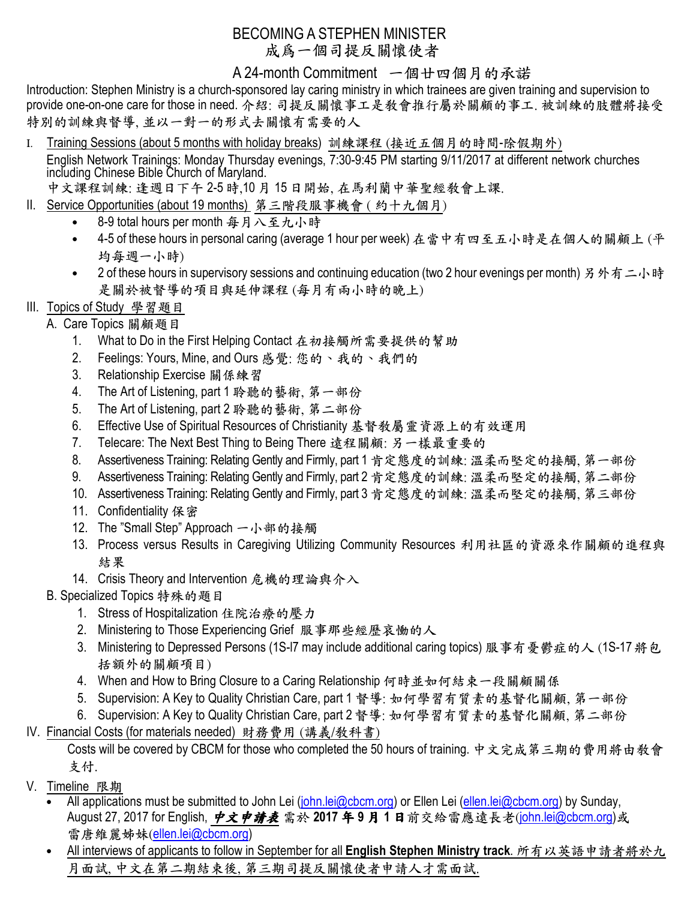## BECOMING A STEPHEN MINISTER 成為一個司提反關懷使者

A 24-month Commitment 一個廿四個月的承諾

Introduction: Stephen Ministry is a church-sponsored lay caring ministry in which trainees are given training and supervision to provide one-on-one care for those in need. 介紹: 司提反關懷事工是教會推行屬於關顧的事工. 被訓練的肢體將接受 特別的訓練與督導, 並以一對一的形式去關懷有需要的人

- Ι. Training Sessions (about 5 months with holiday breaks) 訓練課程 (接近五個月的時間-除假期外) English Network Trainings: Monday Thursday evenings, 7:30-9:45 PM starting 9/11/2017 at different network churches including Chinese Bible Church of Maryland.
- 中文課程訓練: 逢週日下午 2-5 時,10 月 15 日開始, 在馬利蘭中華聖經教會上課.
- II. Service Opportunities (about 19 months) 第三階段服事機會 ( 約十九個月)
	- 8-9 total hours per month 每月八至九小時
	- 4-5 of these hours in personal caring (average 1 hour per week) 在當中有四至五小時是在個人的關顧上 (平 均每週一小時)
	- 2 of these hours in supervisory sessions and continuing education (two 2 hour evenings per month) 另外有二小時 是關於被督導的項目與延伸課程 (每月有兩小時的晚上)
- III. Topics of Study 學習題目
	- A. Care Topics 關顧題目
		- 1. What to Do in the First Helping Contact 在初接觸所需要提供的幫助
		- 2. Feelings: Yours, Mine, and Ours 感覺: 您的、我的、我們的
		- 3. Relationship Exercise 關係練習
		- 4. The Art of Listening, part 1 聆聽的藝術, 第一部份
		- 5. The Art of Listening, part 2 聆聽的藝術, 第二部份
		- 6. Effective Use of Spiritual Resources of Christianity 基督教屬靈資源上的有效運用
		- 7. Telecare: The Next Best Thing to Being There 遠程關顧: 另一樣最重要的
		- 8. Assertiveness Training: Relating Gently and Firmly, part 1 肯定態度的訓練: 溫柔而堅定的接觸, 第一部份
		- 9. Assertiveness Training: Relating Gently and Firmly, part 2 肯定態度的訓練: 溫柔而堅定的接觸, 第二部份
		- 10. Assertiveness Training: Relating Gently and Firmly, part 3 肯定態度的訓練: 溫柔而堅定的接觸, 第三部份
		- 11. Confidentiality 保密
		- 12. The "Small Step" Approach 一小部的接觸
		- 13. Process versus Results in Caregiving Utilizing Community Resources 利用社區的資源來作關顧的進程與 結果
		- 14. Crisis Theory and Intervention 危機的理論與介入
		- B. Specialized Topics 特殊的題目
			- 1. Stress of Hospitalization 住院治療的壓力
			- 2. Ministering to Those Experiencing Grief 服事那些經歷哀慟的人
			- 3. Ministering to Depressed Persons (1S-I7 may include additional caring topics) 服事有憂鬱症的人 (1S-17 將包 括額外的關顧項目)
			- 4. When and How to Bring Closure to a Caring Relationship 何時並如何結束一段關顧關係
			- 5. Supervision: A Key to Quality Christian Care, part 1 督導: 如何學習有質素的基督化關顧, 第一部份
			- 6. Supervision: A Key to Quality Christian Care, part 2 督導: 如何學習有質素的基督化關顧, 第二部份
- IV. Financial Costs (for materials needed) 財務費用 (講義/教科書)

Costs will be covered by CBCM for those who completed the 50 hours of training. 中文完成第三期的費用將由教會 支付.

- V. Timeline 限期
	- All applications must be submitted to John Lei (john.lei@cbcm.org) or Ellen Lei (ellen.lei@cbcm.org) by Sunday, August 27, 2017 for English, 中文申請表 需於 **2017** 年 **9** 月 **1** 日前交給雷應遠長老(john.lei@cbcm.org)或 雷唐維麗姊妹(ellen.lei@cbcm.org)
	- All interviews of applicants to follow in September for all **English Stephen Ministry track**. 所有以英語申請者將於九 月面試, 中文在第二期結束後, 第三期司提反關懷使者申請人才需面試.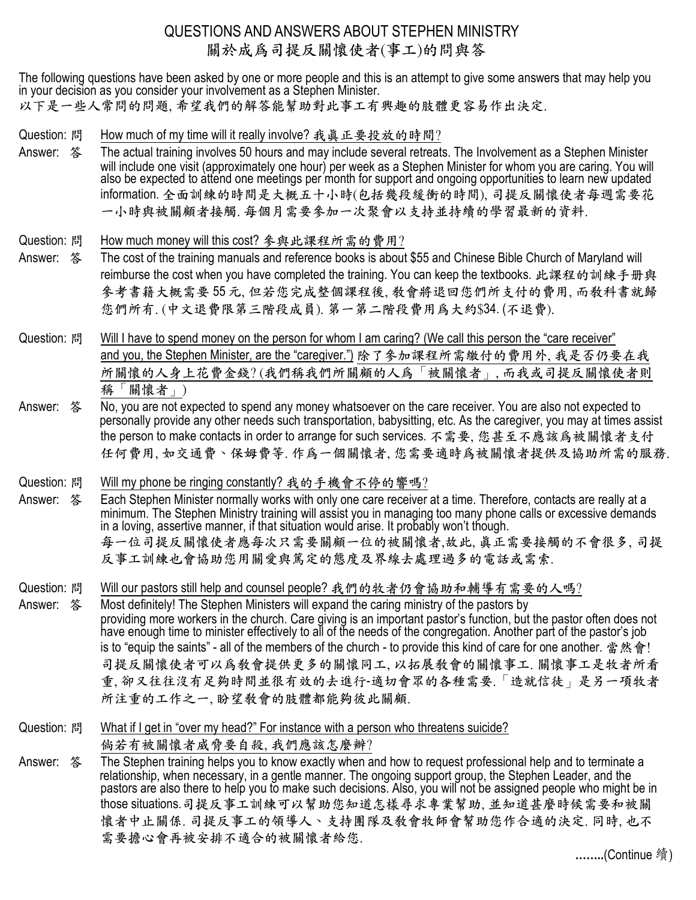## QUESTIONS AND ANSWERS ABOUT STEPHEN MINISTRY 關於成為司提反關懷使者(事工)的問與答

The following questions have been asked by one or more people and this is an attempt to give some answers that may help you in your decision as you consider your involvement as a Stephen Minister. 以下是一些人常問的問題, 希望我們的解答能幫助對此事工有興趣的肢體更容易作出決定.

Question: 問 How much of my time will it really involve? 我真正要投放的時間?

- Answer: 答 The actual training involves 50 hours and may include several retreats. The Involvement as a Stephen Minister will include one visit (approximately one hour) per week as a Stephen Minister for whom you are caring. You will also be expected to attend one meetings per month for support and ongoing opportunities to learn new updated information. 全面訓練的時間是大概五十小時(包括幾段緩衝的時間), 司提反關懷使者每週需要花 一小時與被關顧者接觸. 每個月需要參加一次聚會以支持並持續的學習最新的資料.
- Question: 問 How much money will this cost? 參與此課程所需的費用?
- Answer: 答 The cost of the training manuals and reference books is about \$55 and Chinese Bible Church of Maryland will reimburse the cost when you have completed the training. You can keep the textbooks. 此課程的訓練手册與 參考書籍大概需要 55 元, 但若您完成整個課程後, 教會將退回您們所支付的費用, 而教科書就歸 您們所有. (中文退費限第三階段成員). 第一第二階段費用為大約\$34. (不退費).
- Question: 問 Will I have to spend money on the person for whom I am caring? (We call this person the "care receiver" and you, the Stephen Minister, are the "caregiver.") 除了參加課程所需繳付的費用外, 我是否仍要在我 所關懷的人身上花費金錢? (我們稱我們所關顧的人為「被關懷者」, 而我或司提反關懷使者則 稱「關懷者」)
- Answer: 答 No, you are not expected to spend any money whatsoever on the care receiver. You are also not expected to personally provide any other needs such transportation, babysitting, etc. As the caregiver, you may at times assist the person to make contacts in order to arrange for such services. 不需要, 您甚至不應該為被關懷者支付 任何費用, 如交通費、保姆費等. 作為一個關懷者, 您需要適時為被關懷者提供及協助所需的服務.
- Question: 問 Will my phone be ringing constantly? 我的手機會不停的響嗎?
- Answer: 答 Each Stephen Minister normally works with only one care receiver at a time. Therefore, contacts are really at a minimum. The Stephen Ministry training will assist you in managing too many phone calls or excessive demands in a loving, assertive manner, if that situation would arise. It probably won't though. 每一位司提反關懷使者應每次只需要關顧一位的被關懷者,故此, 真正需要接觸的不會很多, 司提 反事工訓練也會協助您用關愛與篤定的態度及界線去處理過多的電話或需索.

Question: 問 Will our pastors still help and counsel people? 我們的牧者仍會協助和輔導有需要的人嗎?

Answer: 答 Most definitely! The Stephen Ministers will expand the caring ministry of the pastors by providing more workers in the church. Care giving is an important pastor's function, but the pastor often does not have enough time to minister effectively to all of the needs of the congregation. Another part of the pastor's job is to "equip the saints" - all of the members of the church - to provide this kind of care for one another. 當然會! 司提反關懷使者可以為教會提供更多的關懷同工, 以拓展教會的關懷事工. 關懷事工是牧者所看 重, 卻又往往沒有足夠時間並很有效的去進行-適切會眾的各種需要.「造就信徒」是另一項牧者 所注重的工作之一, 盼望教會的肢體都能夠彼此關顧.

- Question: 問 What if I get in "over my head?" For instance with a person who threatens suicide? 倘若有被關懷者威脅要自殺, 我們應該怎麼辦?
- Answer: 答 The Stephen training helps you to know exactly when and how to request professional help and to terminate a relationship, when necessary, in a gentle manner. The ongoing support group, the Stephen Leader, and the pastors are also there to help you to make such decisions. Also, you will not be assigned people who might be in those situations.司提反事工訓練可以幫助您知道怎樣尋求專業幫助, 並知道甚麼時候需要和被關 懷者中止關係. 司提反事工的領導人、支持團隊及教會牧師會幫助您作合適的決定. 同時, 也不 需要擔心會再被安排不適合的被關懷者給您.

**……..**(Continue 續)